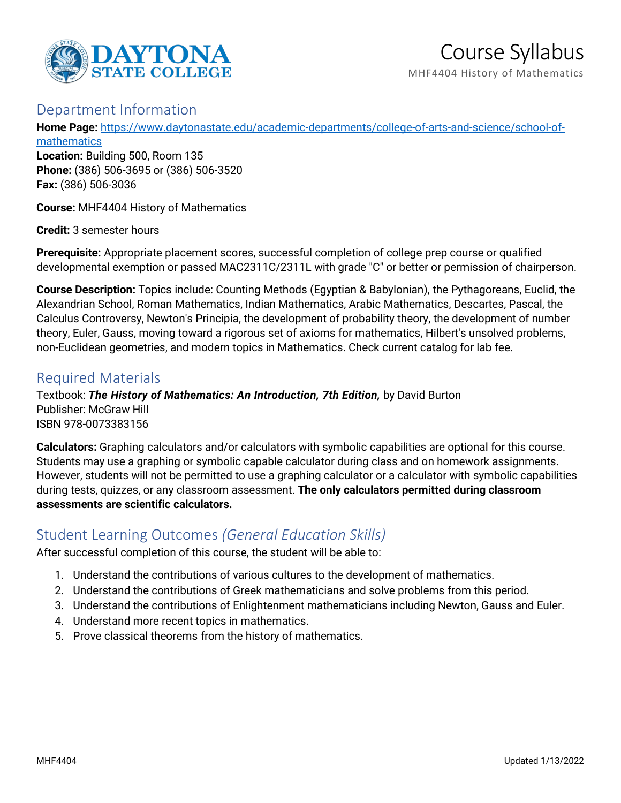

# Course Syllabus

MHF4404 History of Mathematics

## Department Information

**Home Page:** [https://www.daytonastate.edu/academic-departments/college-of-arts-and-science/school-of-](https://www.daytonastate.edu/academic-departments/college-of-arts-and-science/school-of-mathematics)

[mathematics](https://www.daytonastate.edu/academic-departments/college-of-arts-and-science/school-of-mathematics) **Location:** Building 500, Room 135 **Phone:** (386) 506-3695 or (386) 506-3520 **Fax:** (386) 506-3036

**Course:** MHF4404 History of Mathematics

**Credit:** 3 semester hours

**Prerequisite:** Appropriate placement scores, successful completion of college prep course or qualified developmental exemption or passed MAC2311C/2311L with grade "C" or better or permission of chairperson.

**Course Description:** Topics include: Counting Methods (Egyptian & Babylonian), the Pythagoreans, Euclid, the Alexandrian School, Roman Mathematics, Indian Mathematics, Arabic Mathematics, Descartes, Pascal, the Calculus Controversy, Newton's Principia, the development of probability theory, the development of number theory, Euler, Gauss, moving toward a rigorous set of axioms for mathematics, Hilbert's unsolved problems, non-Euclidean geometries, and modern topics in Mathematics. Check current catalog for lab fee.

## Required Materials

Textbook: *The History of Mathematics: An Introduction, 7th Edition,* by David Burton Publisher: McGraw Hill ISBN 978-0073383156

**Calculators:** Graphing calculators and/or calculators with symbolic capabilities are optional for this course. Students may use a graphing or symbolic capable calculator during class and on homework assignments. However, students will not be permitted to use a graphing calculator or a calculator with symbolic capabilities during tests, quizzes, or any classroom assessment. **The only calculators permitted during classroom assessments are scientific calculators.**

#### Student Learning Outcomes *(General Education Skills)*

After successful completion of this course, the student will be able to:

- 1. Understand the contributions of various cultures to the development of mathematics.
- 2. Understand the contributions of Greek mathematicians and solve problems from this period.
- 3. Understand the contributions of Enlightenment mathematicians including Newton, Gauss and Euler.
- 4. Understand more recent topics in mathematics.
- 5. Prove classical theorems from the history of mathematics.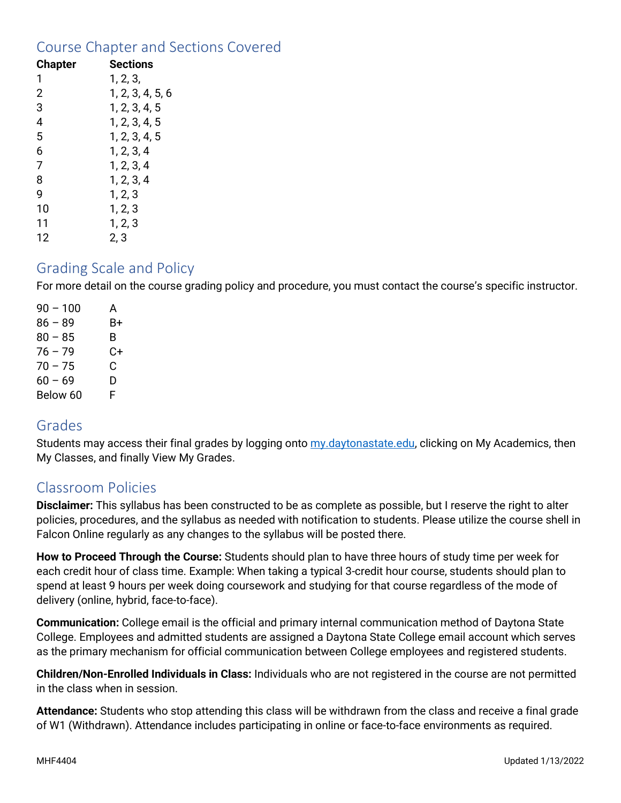## Course Chapter and Sections Covered

| <b>Chapter</b> | Sections         |
|----------------|------------------|
| 1              | 1, 2, 3,         |
| $\overline{2}$ | 1, 2, 3, 4, 5, 6 |
| 3              | 1, 2, 3, 4, 5    |
| $\overline{4}$ | 1, 2, 3, 4, 5    |
| 5              | 1, 2, 3, 4, 5    |
| 6              | 1, 2, 3, 4       |
| 7              | 1, 2, 3, 4       |
| 8              | 1, 2, 3, 4       |
| 9              | 1, 2, 3          |
| 10             | 1, 2, 3          |
| 11             | 1, 2, 3          |
| 12             | 2, 3             |

#### Grading Scale and Policy

For more detail on the course grading policy and procedure, you must contact the course's specific instructor.

 $90 - 100$  A  $86 - 89$  B+  $80 - 85$  B 76 – 79 C+  $70 - 75$  C  $60 - 69$  D Below 60 F

## Grades

Students may access their final grades by logging onto [my.daytonastate.edu,](https://my.daytonastate.edu/) clicking on My Academics, then My Classes, and finally View My Grades.

# Classroom Policies

**Disclaimer:** This syllabus has been constructed to be as complete as possible, but I reserve the right to alter policies, procedures, and the syllabus as needed with notification to students. Please utilize the course shell in Falcon Online regularly as any changes to the syllabus will be posted there.

**How to Proceed Through the Course:** Students should plan to have three hours of study time per week for each credit hour of class time. Example: When taking a typical 3-credit hour course, students should plan to spend at least 9 hours per week doing coursework and studying for that course regardless of the mode of delivery (online, hybrid, face-to-face).

**Communication:** College email is the official and primary internal communication method of Daytona State College. Employees and admitted students are assigned a Daytona State College email account which serves as the primary mechanism for official communication between College employees and registered students.

**Children/Non-Enrolled Individuals in Class:** Individuals who are not registered in the course are not permitted in the class when in session.

**Attendance:** Students who stop attending this class will be withdrawn from the class and receive a final grade of W1 (Withdrawn). Attendance includes participating in online or face-to-face environments as required.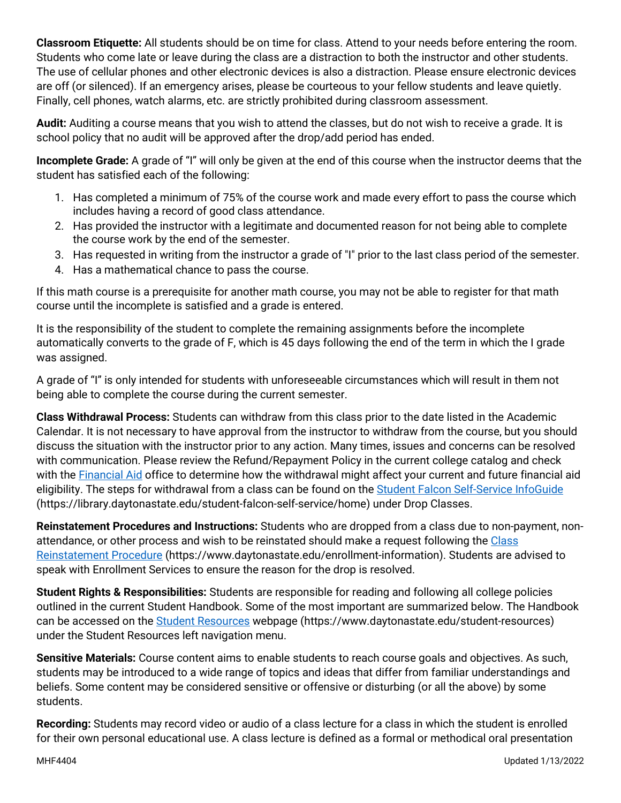**Classroom Etiquette:** All students should be on time for class. Attend to your needs before entering the room. Students who come late or leave during the class are a distraction to both the instructor and other students. The use of cellular phones and other electronic devices is also a distraction. Please ensure electronic devices are off (or silenced). If an emergency arises, please be courteous to your fellow students and leave quietly. Finally, cell phones, watch alarms, etc. are strictly prohibited during classroom assessment.

**Audit:** Auditing a course means that you wish to attend the classes, but do not wish to receive a grade. It is school policy that no audit will be approved after the drop/add period has ended.

**Incomplete Grade:** A grade of "I" will only be given at the end of this course when the instructor deems that the student has satisfied each of the following:

- 1. Has completed a minimum of 75% of the course work and made every effort to pass the course which includes having a record of good class attendance.
- 2. Has provided the instructor with a legitimate and documented reason for not being able to complete the course work by the end of the semester.
- 3. Has requested in writing from the instructor a grade of "I" prior to the last class period of the semester.
- 4. Has a mathematical chance to pass the course.

If this math course is a prerequisite for another math course, you may not be able to register for that math course until the incomplete is satisfied and a grade is entered.

It is the responsibility of the student to complete the remaining assignments before the incomplete automatically converts to the grade of F, which is 45 days following the end of the term in which the I grade was assigned.

A grade of "I" is only intended for students with unforeseeable circumstances which will result in them not being able to complete the course during the current semester.

**Class Withdrawal Process:** Students can withdraw from this class prior to the date listed in the Academic Calendar. It is not necessary to have approval from the instructor to withdraw from the course, but you should discuss the situation with the instructor prior to any action. Many times, issues and concerns can be resolved with communication. Please review the Refund/Repayment Policy in the current college catalog and check with the **Financial Aid** office to determine how the withdrawal might affect your current and future financial aid eligibility. The steps for withdrawal from a class can be found on the [Student Falcon Self-Service InfoGuide](https://library.daytonastate.edu/student-falcon-self-service/home) (https://library.daytonastate.edu/student-falcon-self-service/home) under Drop Classes.

**Reinstatement Procedures and Instructions:** Students who are dropped from a class due to non-payment, nonattendance, or other process and wish to be reinstated should make a request following the [Class](https://www.daytonastate.edu/enrollment-information/index.html)  [Reinstatement Procedure](https://www.daytonastate.edu/enrollment-information/index.html) (https://www.daytonastate.edu/enrollment-information). Students are advised to speak with Enrollment Services to ensure the reason for the drop is resolved.

**Student Rights & Responsibilities:** Students are responsible for reading and following all college policies outlined in the current Student Handbook. Some of the most important are summarized below. The Handbook can be accessed on the [Student Resources](https://www.daytonastate.edu/student-resources) webpage (https://www.daytonastate.edu/student-resources) under the Student Resources left navigation menu.

**Sensitive Materials:** Course content aims to enable students to reach course goals and objectives. As such, students may be introduced to a wide range of topics and ideas that differ from familiar understandings and beliefs. Some content may be considered sensitive or offensive or disturbing (or all the above) by some students.

**Recording:** Students may record video or audio of a class lecture for a class in which the student is enrolled for their own personal educational use. A class lecture is defined as a formal or methodical oral presentation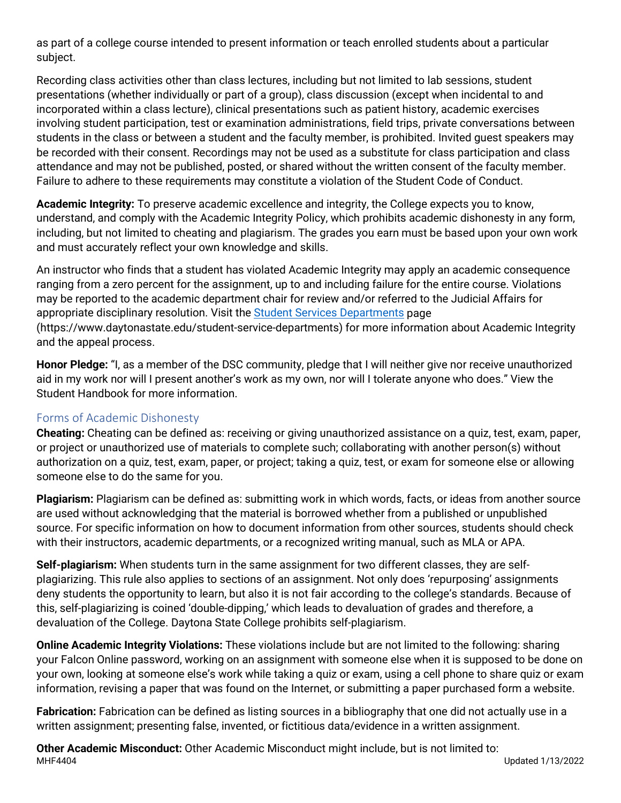as part of a college course intended to present information or teach enrolled students about a particular subject.

Recording class activities other than class lectures, including but not limited to lab sessions, student presentations (whether individually or part of a group), class discussion (except when incidental to and incorporated within a class lecture), clinical presentations such as patient history, academic exercises involving student participation, test or examination administrations, field trips, private conversations between students in the class or between a student and the faculty member, is prohibited. Invited guest speakers may be recorded with their consent. Recordings may not be used as a substitute for class participation and class attendance and may not be published, posted, or shared without the written consent of the faculty member. Failure to adhere to these requirements may constitute a violation of the Student Code of Conduct.

**Academic Integrity:** To preserve academic excellence and integrity, the College expects you to know, understand, and comply with the Academic Integrity Policy, which prohibits academic dishonesty in any form, including, but not limited to cheating and plagiarism. The grades you earn must be based upon your own work and must accurately reflect your own knowledge and skills.

An instructor who finds that a student has violated Academic Integrity may apply an academic consequence ranging from a zero percent for the assignment, up to and including failure for the entire course. Violations may be reported to the academic department chair for review and/or referred to the Judicial Affairs for appropriate disciplinary resolution. Visit the [Student Services Departments](https://www.daytonastate.edu/student-service-departments) page (https://www.daytonastate.edu/student-service-departments) for more information about Academic Integrity and the appeal process.

**Honor Pledge:** "I, as a member of the DSC community, pledge that I will neither give nor receive unauthorized aid in my work nor will I present another's work as my own, nor will I tolerate anyone who does." View the Student Handbook for more information.

#### Forms of Academic Dishonesty

**Cheating:** Cheating can be defined as: receiving or giving unauthorized assistance on a quiz, test, exam, paper, or project or unauthorized use of materials to complete such; collaborating with another person(s) without authorization on a quiz, test, exam, paper, or project; taking a quiz, test, or exam for someone else or allowing someone else to do the same for you.

**Plagiarism:** Plagiarism can be defined as: submitting work in which words, facts, or ideas from another source are used without acknowledging that the material is borrowed whether from a published or unpublished source. For specific information on how to document information from other sources, students should check with their instructors, academic departments, or a recognized writing manual, such as MLA or APA.

**Self-plagiarism:** When students turn in the same assignment for two different classes, they are selfplagiarizing. This rule also applies to sections of an assignment. Not only does 'repurposing' assignments deny students the opportunity to learn, but also it is not fair according to the college's standards. Because of this, self-plagiarizing is coined 'double-dipping,' which leads to devaluation of grades and therefore, a devaluation of the College. Daytona State College prohibits self-plagiarism.

**Online Academic Integrity Violations:** These violations include but are not limited to the following: sharing your Falcon Online password, working on an assignment with someone else when it is supposed to be done on your own, looking at someone else's work while taking a quiz or exam, using a cell phone to share quiz or exam information, revising a paper that was found on the Internet, or submitting a paper purchased form a website.

**Fabrication:** Fabrication can be defined as listing sources in a bibliography that one did not actually use in a written assignment; presenting false, invented, or fictitious data/evidence in a written assignment.

MHF4404 Updated 1/13/2022 **Other Academic Misconduct:** Other Academic Misconduct might include, but is not limited to: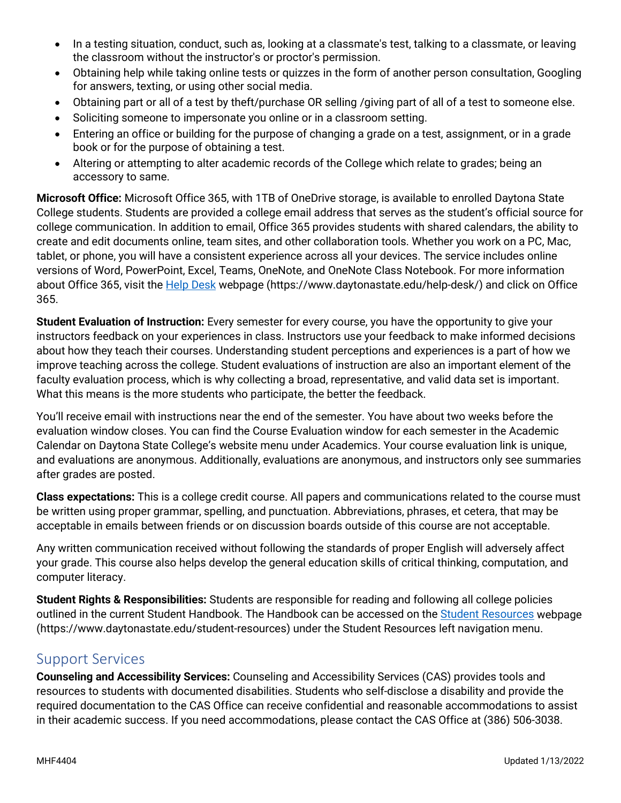- In a testing situation, conduct, such as, looking at a classmate's test, talking to a classmate, or leaving the classroom without the instructor's or proctor's permission.
- Obtaining help while taking online tests or quizzes in the form of another person consultation, Googling for answers, texting, or using other social media.
- Obtaining part or all of a test by theft/purchase OR selling /giving part of all of a test to someone else.
- Soliciting someone to impersonate you online or in a classroom setting.
- Entering an office or building for the purpose of changing a grade on a test, assignment, or in a grade book or for the purpose of obtaining a test.
- Altering or attempting to alter academic records of the College which relate to grades; being an accessory to same.

**Microsoft Office:** Microsoft Office 365, with 1TB of OneDrive storage, is available to enrolled Daytona State College students. Students are provided a college email address that serves as the student's official source for college communication. In addition to email, Office 365 provides students with shared calendars, the ability to create and edit documents online, team sites, and other collaboration tools. Whether you work on a PC, Mac, tablet, or phone, you will have a consistent experience across all your devices. The service includes online versions of Word, PowerPoint, Excel, Teams, OneNote, and OneNote Class Notebook. For more information about Office 365, visit the [Help Desk](https://www.daytonastate.edu/help-desk/) webpage (https://www.daytonastate.edu/help-desk/) and click on Office 365.

**Student Evaluation of Instruction:** Every semester for every course, you have the opportunity to give your instructors feedback on your experiences in class. Instructors use your feedback to make informed decisions about how they teach their courses. Understanding student perceptions and experiences is a part of how we improve teaching across the college. Student evaluations of instruction are also an important element of the faculty evaluation process, which is why collecting a broad, representative, and valid data set is important. What this means is the more students who participate, the better the feedback.

You'll receive email with instructions near the end of the semester. You have about two weeks before the evaluation window closes. You can find the Course Evaluation window for each semester in the Academic Calendar on Daytona State College's website menu under Academics. Your course evaluation link is unique, and evaluations are anonymous. Additionally, evaluations are anonymous, and instructors only see summaries after grades are posted.

**Class expectations:** This is a college credit course. All papers and communications related to the course must be written using proper grammar, spelling, and punctuation. Abbreviations, phrases, et cetera, that may be acceptable in emails between friends or on discussion boards outside of this course are not acceptable.

Any written communication received without following the standards of proper English will adversely affect your grade. This course also helps develop the general education skills of critical thinking, computation, and computer literacy.

**Student Rights & Responsibilities:** Students are responsible for reading and following all college policies outlined in the current Student Handbook. The Handbook can be accessed on the [Student Resources](https://www.daytonastate.edu/student-resources) webpage (https://www.daytonastate.edu/student-resources) under the Student Resources left navigation menu.

## Support Services

**Counseling and Accessibility Services:** Counseling and Accessibility Services (CAS) provides tools and resources to students with documented disabilities. Students who self-disclose a disability and provide the required documentation to the CAS Office can receive confidential and reasonable accommodations to assist in their academic success. If you need accommodations, please contact the CAS Office at (386) 506-3038.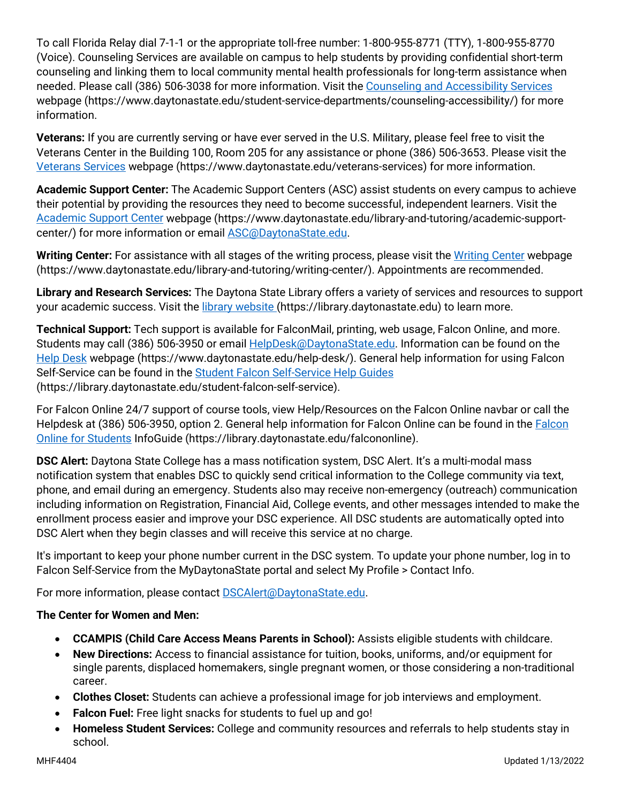To call Florida Relay dial 7-1-1 or the appropriate toll-free number: 1-800-955-8771 (TTY), 1-800-955-8770 (Voice). Counseling Services are available on campus to help students by providing confidential short-term counseling and linking them to local community mental health professionals for long-term assistance when needed. Please call (386) 506-3038 for more information. Visit the [Counseling and Accessibility Services](https://www.daytonastate.edu/student-service-departments/counseling-accessibility/) webpage (https://www.daytonastate.edu/student-service-departments/counseling-accessibility/) for more information.

**Veterans:** If you are currently serving or have ever served in the U.S. Military, please feel free to visit the Veterans Center in the Building 100, Room 205 for any assistance or phone (386) 506-3653. Please visit the [Veterans Services](https://www.daytonastate.edu/veterans-services) webpage (https://www.daytonastate.edu/veterans-services) for more information.

**Academic Support Center:** The Academic Support Centers (ASC) assist students on every campus to achieve their potential by providing the resources they need to become successful, independent learners. Visit the [Academic Support Center](https://www.daytonastate.edu/library-and-tutoring/academic-support-center/index.html) webpage (https://www.daytonastate.edu/library-and-tutoring/academic-supportcenter/) for more information or email [ASC@DaytonaState.edu.](mailto:ASC@DaytonaState.edu)

**Writing Center:** For assistance with all stages of the writing process, please visit the [Writing Center](https://www.daytonastate.edu/library-and-tutoring/writing-center/) webpage (https://www.daytonastate.edu/library-and-tutoring/writing-center/). Appointments are recommended.

**Library and Research Services:** The Daytona State Library offers a variety of services and resources to support your academic success. Visit the *library website* (https://library.daytonastate.edu) to learn more.

**Technical Support:** Tech support is available for FalconMail, printing, web usage, Falcon Online, and more. Students may call (386) 506-3950 or email [HelpDesk@DaytonaState.edu.](mailto:HelpDesk@DaytonaState.edu) Information can be found on the [Help Desk](https://www.daytonastate.edu/help-desk/) webpage (https://www.daytonastate.edu/help-desk/). General help information for using Falcon Self-Service can be found in the **Student Falcon Self-Service Help Guides** (https://library.daytonastate.edu/student-falcon-self-service).

For Falcon Online 24/7 support of course tools, view Help/Resources on the Falcon Online navbar or call the Helpdesk at (386) 506-3950, option 2. General help information for Falcon Online can be found in the [Falcon](https://library.daytonastate.edu/falcononline)  [Online for Students](https://library.daytonastate.edu/falcononline) InfoGuide (https://library.daytonastate.edu/falcononline).

**DSC Alert:** Daytona State College has a mass notification system, DSC Alert. It's a multi-modal mass notification system that enables DSC to quickly send critical information to the College community via text, phone, and email during an emergency. Students also may receive non-emergency (outreach) communication including information on Registration, Financial Aid, College events, and other messages intended to make the enrollment process easier and improve your DSC experience. All DSC students are automatically opted into DSC Alert when they begin classes and will receive this service at no charge.

It's important to keep your phone number current in the DSC system. To update your phone number, log in to Falcon Self-Service from the MyDaytonaState portal and select My Profile > Contact Info.

For more information, please contact **DSCAlert**@DaytonaState.edu.

#### **The Center for Women and Men:**

- **CCAMPIS (Child Care Access Means Parents in School):** Assists eligible students with childcare.
- **New Directions:** Access to financial assistance for tuition, books, uniforms, and/or equipment for single parents, displaced homemakers, single pregnant women, or those considering a non-traditional career.
- **Clothes Closet:** Students can achieve a professional image for job interviews and employment.
- **Falcon Fuel:** Free light snacks for students to fuel up and go!
- **Homeless Student Services:** College and community resources and referrals to help students stay in school.